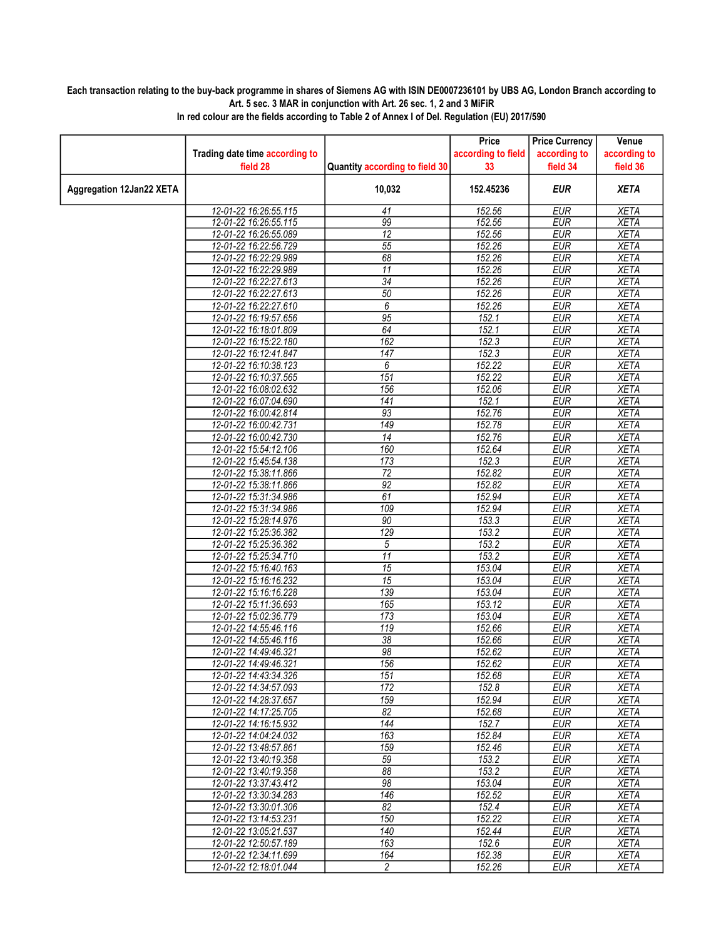## Each transaction relating to the buy-back programme in shares of Siemens AG with ISIN DE0007236101 by UBS AG, London Branch according to Art. 5 sec. 3 MAR in conjunction with Art. 26 sec. 1, 2 and 3 MiFiR

|                                 |                                |                                | Price              | <b>Price Currency</b> | Venue        |
|---------------------------------|--------------------------------|--------------------------------|--------------------|-----------------------|--------------|
|                                 | Trading date time according to |                                | according to field | according to          | according to |
|                                 | field 28                       | Quantity according to field 30 | 33                 | field 34              | field 36     |
| <b>Aggregation 12Jan22 XETA</b> |                                | 10,032                         | 152.45236          | <b>EUR</b>            | <b>XETA</b>  |
|                                 | 12-01-22 16:26:55.115          | 41                             | 152.56             | <b>EUR</b>            | <b>XETA</b>  |
|                                 | 12-01-22 16:26:55.115          | 99                             | 152.56             | <b>EUR</b>            | <b>XETA</b>  |
|                                 | 12-01-22 16:26:55.089          | 12                             | 152.56             | <b>EUR</b>            | <b>XETA</b>  |
|                                 | 12-01-22 16:22:56.729          | 55                             | 152.26             | <b>EUR</b>            | <b>XETA</b>  |
|                                 | 12-01-22 16:22:29.989          | 68                             | 152.26             | <b>EUR</b>            | <b>XETA</b>  |
|                                 | 12-01-22 16:22:29.989          | 11                             | 152.26             | <b>EUR</b>            | <b>XETA</b>  |
|                                 | 12-01-22 16:22:27.613          | $\overline{34}$                | 152.26             | <b>EUR</b>            | <b>XETA</b>  |
|                                 | 12-01-22 16:22:27.613          | 50                             | 152.26             | <b>EUR</b>            | <b>XETA</b>  |
|                                 | 12-01-22 16:22:27.610          | 6                              | 152.26             | <b>EUR</b>            | <b>XETA</b>  |
|                                 | 12-01-22 16:19:57.656          | $\overline{95}$                | 152.1              | <b>EUR</b>            | <b>XETA</b>  |
|                                 | 12-01-22 16:18:01.809          | 64                             | 152.1              | <b>EUR</b>            | <b>XETA</b>  |
|                                 | 12-01-22 16:15:22.180          | $\overline{162}$               | 152.3              | <b>EUR</b>            | <b>XETA</b>  |
|                                 | 12-01-22 16:12:41.847          | 147                            | 152.3              | <b>EUR</b>            | <b>XETA</b>  |
|                                 | 12-01-22 16:10:38.123          | 6                              | 152.22             | <b>EUR</b>            | <b>XETA</b>  |
|                                 | 12-01-22 16:10:37.565          | 151                            | 152.22             | <b>EUR</b>            | <b>XETA</b>  |
|                                 | 12-01-22 16:08:02.632          | 156                            | 152.06             | <b>EUR</b>            | <b>XETA</b>  |
|                                 | 12-01-22 16:07:04.690          | $\overline{141}$               | 152.1              | <b>EUR</b>            | <b>XETA</b>  |
|                                 | 12-01-22 16:00:42.814          | $\overline{93}$                | 152.76             | <b>EUR</b>            | <b>XETA</b>  |
|                                 | 12-01-22 16:00:42.731          | 149                            | 152.78             | <b>EUR</b>            | <b>XETA</b>  |
|                                 | 12-01-22 16:00:42.730          | $\overline{14}$                | 152.76             | <b>EUR</b>            | <b>XETA</b>  |
|                                 | 12-01-22 15:54:12.106          | 160                            | 152.64             | <b>EUR</b>            | <b>XETA</b>  |
|                                 | 12-01-22 15:45:54.138          | 173                            | 152.3              | <b>EUR</b>            | <b>XETA</b>  |
|                                 | 12-01-22 15:38:11.866          | $\overline{72}$                | 152.82             | <b>EUR</b>            | <b>XETA</b>  |
|                                 | 12-01-22 15:38:11.866          | 92                             | 152.82             | <b>EUR</b>            | <b>XETA</b>  |
|                                 | 12-01-22 15:31:34.986          | 61                             | 152.94             | <b>EUR</b>            | <b>XETA</b>  |
|                                 | 12-01-22 15:31:34.986          | $\overline{109}$               | 152.94             | <b>EUR</b>            | <b>XETA</b>  |
|                                 | 12-01-22 15:28:14.976          | 90                             | 153.3              | <b>EUR</b>            | <b>XETA</b>  |
|                                 | 12-01-22 15:25:36.382          | $\overline{129}$               | 153.2              | <b>EUR</b>            | <b>XETA</b>  |
|                                 | 12-01-22 15:25:36.382          | 5                              | 153.2              | <b>EUR</b>            | <b>XETA</b>  |
|                                 | 12-01-22 15:25:34.710          | 11                             | 153.2              | <b>EUR</b>            | <b>XETA</b>  |
|                                 | 12-01-22 15:16:40.163          | 15                             | 153.04             | <b>EUR</b>            | <b>XETA</b>  |
|                                 | 12-01-22 15:16:16.232          | $\overline{15}$                | 153.04             | <b>EUR</b>            | <b>XETA</b>  |
|                                 | 12-01-22 15:16:16.228          | 139                            | 153.04             | <b>EUR</b>            | <b>XETA</b>  |
|                                 | 12-01-22 15:11:36.693          | 165                            | 153.12             | <b>EUR</b>            | <b>XETA</b>  |
|                                 | 12-01-22 15:02:36.779          | 173                            | 153.04             | <b>EUR</b>            | <b>XETA</b>  |
|                                 | 12-01-22 14:55:46.116          | $\overline{119}$               | 152.66             | <b>EUR</b>            | <b>XETA</b>  |
|                                 | 12-01-22 14:55:46.116          | $\overline{38}$                | 152.66             | <b>EUR</b>            | <b>XETA</b>  |
|                                 | 12-01-22 14:49:46.321          | 98                             | 152.62             | <b>EUR</b>            | <b>XETA</b>  |
|                                 | 12-01-22 14:49:46.321          | 156                            | 152.62             | <b>EUR</b>            | <b>XETA</b>  |
|                                 | 12-01-22 14:43:34.326          | 151                            | 152.68             | EUR                   | <b>XETA</b>  |
|                                 | 12-01-22 14:34:57.093          | 172                            | 152.8              | EUR                   | XETA         |
|                                 | 12-01-22 14:28:37.657          | 159                            | 152.94             | <b>EUR</b>            | <b>XETA</b>  |
|                                 | 12-01-22 14:17:25.705          | $\overline{82}$                | 152.68             | <b>EUR</b>            | <b>XETA</b>  |
|                                 | 12-01-22 14:16:15.932          | 144                            | 152.7              | <b>EUR</b>            | <b>XETA</b>  |
|                                 | 12-01-22 14:04:24.032          | 163                            | 152.84             | <b>EUR</b>            | <b>XETA</b>  |
|                                 | 12-01-22 13:48:57.861          | 159                            | 152.46             | <b>EUR</b>            | <b>XETA</b>  |
|                                 | 12-01-22 13:40:19.358          | 59                             | 153.2              | EUR                   | <b>XETA</b>  |
|                                 | 12-01-22 13:40:19.358          | $\overline{88}$                | 153.2              | <b>EUR</b>            | <b>XETA</b>  |
|                                 | 12-01-22 13:37:43.412          | 98                             | 153.04             | <b>EUR</b>            | <b>XETA</b>  |
|                                 | 12-01-22 13:30:34.283          | 146                            | 152.52             | <b>EUR</b>            | <b>XETA</b>  |
|                                 | 12-01-22 13:30:01.306          | 82                             | 152.4              | <b>EUR</b>            | <b>XETA</b>  |
|                                 | 12-01-22 13:14:53.231          | 150                            | 152.22             | EUR                   | <b>XETA</b>  |
|                                 | 12-01-22 13:05:21.537          | 140                            | 152.44             | EUR                   | <b>XETA</b>  |
|                                 | 12-01-22 12:50:57.189          | 163                            | 152.6              | <b>EUR</b>            | <b>XETA</b>  |
|                                 | 12-01-22 12:34:11.699          | 164                            | 152.38             | <b>EUR</b>            | <b>XETA</b>  |
|                                 | 12-01-22 12:18:01.044          | $\overline{2}$                 | 152.26             | <b>EUR</b>            | XETA         |

In red colour are the fields according to Table 2 of Annex I of Del. Regulation (EU) 2017/590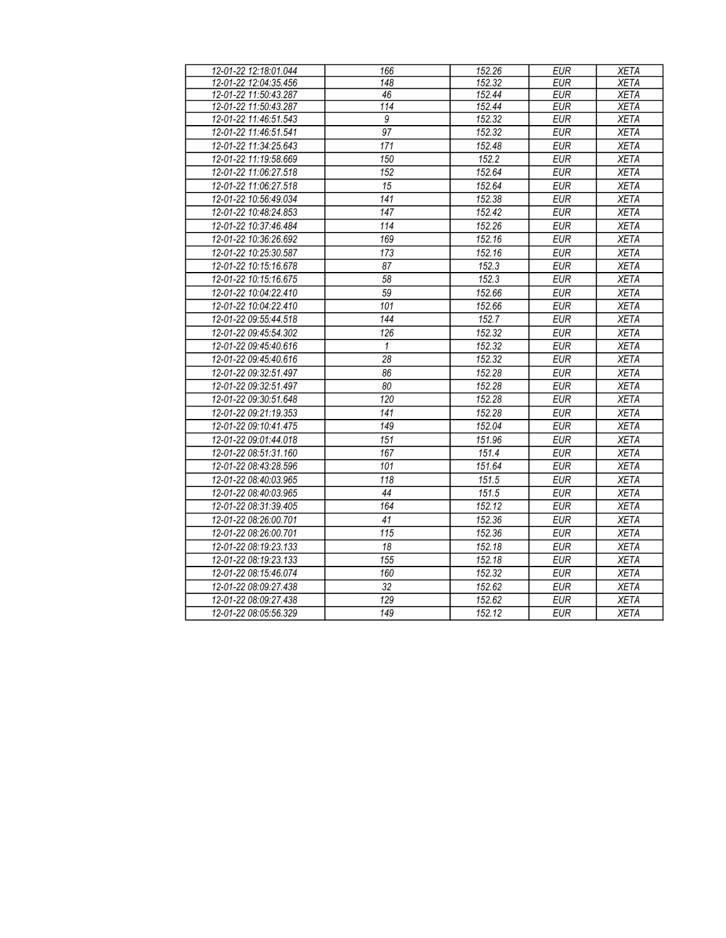| 12-01-22 12:18:01.044 | 166              | 152.26 | <b>EUR</b> | <b>XETA</b> |
|-----------------------|------------------|--------|------------|-------------|
| 12-01-22 12:04:35.456 | 148              | 152.32 | <b>EUR</b> | <b>XETA</b> |
| 12-01-22 11:50:43.287 | 46               | 152.44 | <b>EUR</b> | <b>XETA</b> |
| 12-01-22 11:50:43.287 | 114              | 152.44 | <b>EUR</b> | <b>XETA</b> |
| 12-01-22 11:46:51.543 | 9                | 152.32 | <b>EUR</b> | <b>XETA</b> |
| 12-01-22 11:46:51.541 | 97               | 152.32 | <b>EUR</b> | <b>XETA</b> |
| 12-01-22 11:34:25.643 | 171              | 152.48 | <b>EUR</b> | <b>XETA</b> |
| 12-01-22 11:19:58.669 | 150              | 152.2  | <b>EUR</b> | <b>XETA</b> |
| 12-01-22 11:06:27.518 | 152              | 152.64 | <b>EUR</b> | <b>XETA</b> |
| 12-01-22 11:06:27.518 | 15               | 152.64 | <b>EUR</b> | <b>XETA</b> |
| 12-01-22 10:56:49.034 | 141              | 152.38 | <b>EUR</b> | <b>XETA</b> |
| 12-01-22 10:48:24.853 | $\overline{147}$ | 152.42 | <b>EUR</b> | <b>XETA</b> |
| 12-01-22 10:37:46.484 | 114              | 152.26 | EUR        | <b>XETA</b> |
| 12-01-22 10:36:26.692 | 169              | 152.16 | EUR        | <b>XETA</b> |
| 12-01-22 10:25:30.587 | 173              | 152.16 | <b>EUR</b> | <b>XETA</b> |
| 12-01-22 10:15:16.678 | 87               | 152.3  | <b>EUR</b> | <b>XETA</b> |
| 12-01-22 10:15:16.675 | $\overline{58}$  | 152.3  | <b>EUR</b> | <b>XETA</b> |
| 12-01-22 10:04:22.410 | 59               | 152.66 | <b>EUR</b> | <b>XETA</b> |
| 12-01-22 10:04:22.410 | 101              | 152.66 | <b>EUR</b> | <b>XETA</b> |
| 12-01-22 09:55:44.518 | 144              | 152.7  | <b>EUR</b> | <b>XETA</b> |
| 12-01-22 09:45:54.302 | 126              | 152.32 | <b>EUR</b> | <b>XETA</b> |
| 12-01-22 09:45:40.616 | $\mathbf{1}$     | 152.32 | <b>EUR</b> | <b>XETA</b> |
| 12-01-22 09:45:40.616 | $\overline{28}$  | 152.32 | <b>EUR</b> | <b>XETA</b> |
| 12-01-22 09:32:51.497 | 86               | 152.28 | <b>EUR</b> | <b>XETA</b> |
| 12-01-22 09:32:51.497 | 80               | 152.28 | EUR        | <b>XETA</b> |
| 12-01-22 09:30:51.648 | 120              | 152.28 | <b>EUR</b> | <b>XETA</b> |
| 12-01-22 09:21:19.353 | 141              | 152.28 | <b>EUR</b> | <b>XETA</b> |
| 12-01-22 09:10:41.475 | $\overline{149}$ | 152.04 | <b>EUR</b> | <b>XETA</b> |
| 12-01-22 09:01:44.018 | 151              | 151.96 | <b>EUR</b> | <b>XETA</b> |
| 12-01-22 08:51:31.160 | 167              | 151.4  | <b>EUR</b> | <b>XETA</b> |
| 12-01-22 08:43:28.596 | 101              | 151.64 | <b>EUR</b> | <b>XETA</b> |
| 12-01-22 08:40:03.965 | 118              | 151.5  | <b>EUR</b> | <b>XETA</b> |
| 12-01-22 08:40:03.965 | 44               | 151.5  | <b>EUR</b> | <b>XETA</b> |
| 12-01-22 08:31:39.405 | 164              | 152.12 | <b>EUR</b> | <b>XETA</b> |
| 12-01-22 08:26:00.701 | 41               | 152.36 | <b>EUR</b> | <b>XETA</b> |
| 12-01-22 08:26:00.701 | $\overline{115}$ | 152.36 | <b>EUR</b> | <b>XETA</b> |
| 12-01-22 08:19:23.133 | $\overline{18}$  | 152.18 | <b>EUR</b> | <b>XETA</b> |
| 12-01-22 08:19:23.133 | 155              | 152.18 | <b>EUR</b> | <b>XETA</b> |
| 12-01-22 08:15:46.074 | 160              | 152.32 | <b>EUR</b> | <b>XETA</b> |
| 12-01-22 08:09:27.438 | 32               | 152.62 | <b>EUR</b> | <b>XETA</b> |
| 12-01-22 08:09:27.438 | 129              | 152.62 | <b>EUR</b> | <b>XETA</b> |
| 12-01-22 08:05:56.329 | 149              | 152.12 | <b>EUR</b> | <b>XETA</b> |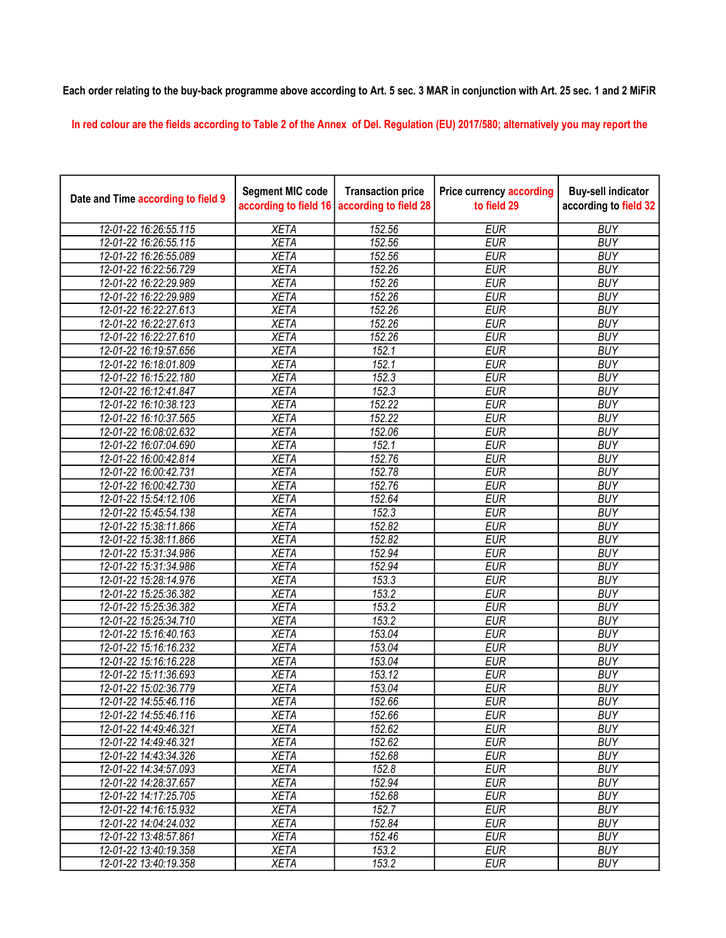## Each order relating to the buy-back programme above according to Art. 5 sec. 3 MAR in conjunction with Art. 25 sec. 1 and 2 MiFiR

In red colour are the fields according to Table 2 of the Annex of Del. Regulation (EU) 2017/580; alternatively you may report the

| Date and Time according to field 9 | <b>Segment MIC code</b><br>according to field 16 | <b>Transaction price</b><br>according to field 28 | <b>Price currency according</b><br>to field 29 | <b>Buy-sell indicator</b><br>according to field 32 |
|------------------------------------|--------------------------------------------------|---------------------------------------------------|------------------------------------------------|----------------------------------------------------|
| 12-01-22 16:26:55.115              | <b>XETA</b>                                      | 152.56                                            | <b>EUR</b>                                     | <b>BUY</b>                                         |
| 12-01-22 16:26:55.115              | <b>XETA</b>                                      | 152.56                                            | <b>EUR</b>                                     | <b>BUY</b>                                         |
| 12-01-22 16:26:55.089              | <b>XETA</b>                                      | 152.56                                            | <b>EUR</b>                                     | <b>BUY</b>                                         |
| 12-01-22 16:22:56.729              | <b>XETA</b>                                      | 152.26                                            | <b>EUR</b>                                     | <b>BUY</b>                                         |
| 12-01-22 16:22:29.989              | <b>XETA</b>                                      | 152.26                                            | <b>EUR</b>                                     | <b>BUY</b>                                         |
| 12-01-22 16:22:29.989              | <b>XETA</b>                                      | 152.26                                            | <b>EUR</b>                                     | <b>BUY</b>                                         |
| 12-01-22 16:22:27.613              | <b>XETA</b>                                      | 152.26                                            | <b>EUR</b>                                     | <b>BUY</b>                                         |
| 12-01-22 16:22:27.613              | <b>XETA</b>                                      | 152.26                                            | <b>EUR</b>                                     | <b>BUY</b>                                         |
| 12-01-22 16:22:27.610              | <b>XETA</b>                                      | 152.26                                            | <b>EUR</b>                                     | <b>BUY</b>                                         |
| 12-01-22 16:19:57.656              | <b>XETA</b>                                      | 152.1                                             | <b>EUR</b>                                     | <b>BUY</b>                                         |
| 12-01-22 16:18:01.809              | <b>XETA</b>                                      | 152.1                                             | <b>EUR</b>                                     | <b>BUY</b>                                         |
| 12-01-22 16:15:22.180              | <b>XETA</b>                                      | 152.3                                             | <b>EUR</b>                                     | <b>BUY</b>                                         |
| 12-01-22 16:12:41.847              | <b>XETA</b>                                      | 152.3                                             | <b>EUR</b>                                     | <b>BUY</b>                                         |
| 12-01-22 16:10:38.123              | <b>XETA</b>                                      | 152.22                                            | <b>EUR</b>                                     | <b>BUY</b>                                         |
| 12-01-22 16:10:37.565              | <b>XETA</b>                                      | 152.22                                            | <b>EUR</b>                                     | <b>BUY</b>                                         |
| 12-01-22 16:08:02.632              | <b>XETA</b>                                      | 152.06                                            | <b>EUR</b>                                     | <b>BUY</b>                                         |
| 12-01-22 16:07:04.690              | <b>XETA</b>                                      | 152.1                                             | <b>EUR</b>                                     | <b>BUY</b>                                         |
| 12-01-22 16:00:42.814              | <b>XETA</b>                                      | 152.76                                            | <b>EUR</b>                                     | <b>BUY</b>                                         |
| 12-01-22 16:00:42.731              | <b>XETA</b>                                      | 152.78                                            | <b>EUR</b>                                     | <b>BUY</b>                                         |
| 12-01-22 16:00:42.730              | <b>XETA</b>                                      | 152.76                                            | <b>EUR</b>                                     | <b>BUY</b>                                         |
| 12-01-22 15:54:12.106              | <b>XETA</b>                                      | 152.64                                            | <b>EUR</b>                                     | <b>BUY</b>                                         |
| 12-01-22 15:45:54.138              | <b>XETA</b>                                      | 152.3                                             | <b>EUR</b>                                     | <b>BUY</b>                                         |
| 12-01-22 15:38:11.866              | <b>XETA</b>                                      | 152.82                                            | <b>EUR</b>                                     | <b>BUY</b>                                         |
| 12-01-22 15:38:11.866              | <b>XETA</b>                                      | 152.82                                            | <b>EUR</b>                                     | <b>BUY</b>                                         |
| 12-01-22 15:31:34.986              | <b>XETA</b>                                      | 152.94                                            | <b>EUR</b>                                     | <b>BUY</b>                                         |
| 12-01-22 15:31:34.986              | <b>XETA</b>                                      | 152.94                                            | <b>EUR</b>                                     | <b>BUY</b>                                         |
| 12-01-22 15:28:14.976              | <b>XETA</b>                                      | 153.3                                             | <b>EUR</b>                                     | <b>BUY</b>                                         |
| 12-01-22 15:25:36.382              | <b>XETA</b>                                      | 153.2                                             | <b>EUR</b>                                     | <b>BUY</b>                                         |
| 12-01-22 15:25:36.382              | <b>XETA</b>                                      | 153.2                                             | <b>EUR</b>                                     | <b>BUY</b>                                         |
| 12-01-22 15:25:34.710              | <b>XETA</b>                                      | 153.2                                             | <b>EUR</b>                                     | <b>BUY</b>                                         |
| 12-01-22 15:16:40.163              | <b>XETA</b>                                      | 153.04                                            | <b>EUR</b>                                     | <b>BUY</b>                                         |
| 12-01-22 15:16:16.232              | <b>XETA</b>                                      | 153.04                                            | <b>EUR</b>                                     | <b>BUY</b>                                         |
| 12-01-22 15:16:16.228              | <b>XETA</b>                                      | 153.04                                            | <b>EUR</b>                                     | <b>BUY</b>                                         |
| 12-01-22 15:11:36.693              | <b>XETA</b>                                      | 153.12                                            | <b>EUR</b>                                     | <b>BUY</b>                                         |
| 12-01-22 15:02:36.779              | <b>XETA</b>                                      | 153.04                                            | <b>EUR</b>                                     | <b>BUY</b>                                         |
| 12-01-22 14:55:46.116              | <b>XETA</b>                                      | 152.66                                            | <b>EUR</b>                                     | <b>BUY</b>                                         |
| 12-01-22 14:55:46.116              | <b>XETA</b>                                      | 152.66                                            | <b>EUR</b>                                     | <b>BUY</b>                                         |
| 12-01-22 14:49:46.321              | <b>XETA</b>                                      | 152.62                                            | <b>EUR</b>                                     | <b>BUY</b>                                         |
| 12-01-22 14:49:46.321              | <b>XETA</b>                                      | 152.62                                            | <b>EUR</b>                                     | <b>BUY</b>                                         |
| 12-01-22 14:43:34.326              | <b>XETA</b>                                      | 152.68                                            | <b>EUR</b>                                     | <b>BUY</b>                                         |
| 12-01-22 14:34:57.093              | <b>XETA</b>                                      | 152.8                                             | <b>EUR</b>                                     | <b>BUY</b>                                         |
| 12-01-22 14:28:37.657              | <b>XETA</b>                                      | 152.94                                            | <b>EUR</b>                                     | <b>BUY</b>                                         |
| 12-01-22 14:17:25.705              | <b>XETA</b>                                      | 152.68                                            | <b>EUR</b>                                     | <b>BUY</b>                                         |
| 12-01-22 14:16:15.932              | <b>XETA</b>                                      | 152.7                                             | <b>EUR</b>                                     | <b>BUY</b>                                         |
| 12-01-22 14:04:24.032              | <b>XETA</b>                                      | 152.84                                            | <b>EUR</b>                                     | <b>BUY</b>                                         |
| 12-01-22 13:48:57.861              | <b>XETA</b>                                      | 152.46                                            | <b>EUR</b>                                     | <b>BUY</b>                                         |
| 12-01-22 13:40:19.358              | <b>XETA</b>                                      | 153.2                                             | <b>EUR</b>                                     | <b>BUY</b>                                         |
| 12-01-22 13:40:19.358              | <b>XETA</b>                                      | 153.2                                             | <b>EUR</b>                                     | <b>BUY</b>                                         |